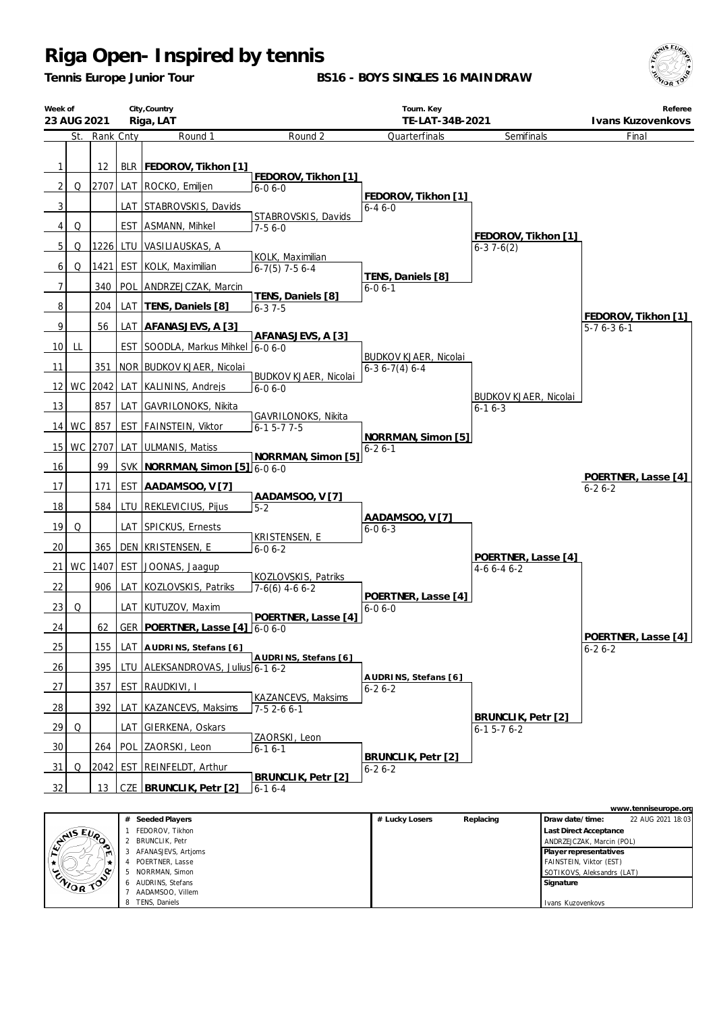*Tennis Europe Junior Tour*

**BS16 - BOYS SINGLES 16 MAINDRAW**



Ivans Kuzovenkovs

|                                          | City, Country<br>Week of<br>23 AUG 2021<br>Riga, LAT |           |     |                                      | Tourn. Key<br>TE-LAT-34B-2021                |                                                |                                              |                 | Referee<br>Ivans Kuzovenkovs                        |
|------------------------------------------|------------------------------------------------------|-----------|-----|--------------------------------------|----------------------------------------------|------------------------------------------------|----------------------------------------------|-----------------|-----------------------------------------------------|
|                                          | St.                                                  | Rank Cnty |     | Round 1                              | Round 2                                      | Quarterfinals                                  | Semifinals                                   |                 | Final                                               |
| $\mathbf{1}$                             |                                                      | 12        |     | BLR   FEDOROV, Tikhon [1]            |                                              |                                                |                                              |                 |                                                     |
| 2                                        | Q                                                    |           |     | 2707 LAT ROCKO, Emiljen              | FEDOROV, Tikhon [1]<br>$6 - 06 - 0$          |                                                |                                              |                 |                                                     |
| 3                                        |                                                      |           |     | LAT STABROVSKIS, Davids              |                                              | FEDOROV, Tikhon [1]<br>$6 - 46 - 0$            |                                              |                 |                                                     |
| 4                                        | Q                                                    |           |     | EST   ASMANN, Mihkel                 | STABROVSKIS, Davids<br>$7-56-0$              |                                                |                                              |                 |                                                     |
| 5                                        | Q                                                    | 12261     |     | LTU   VASILIAUSKAS, A                |                                              |                                                | FEDOROV, Tikhon [1]<br>$6-37-6(2)$           |                 |                                                     |
| 6                                        | Q                                                    | 1421      |     | EST KOLK, Maximilian                 | KOLK, Maximilian<br>$6-7(5)$ 7-5 6-4         |                                                |                                              |                 |                                                     |
| 7                                        |                                                      |           |     | 340   POL   ANDRZEJCZAK, Marcin      |                                              | TENS, Daniels [8]<br>$6 - 06 - 1$              |                                              |                 |                                                     |
| 8                                        |                                                      | 204       |     | LAT   TENS, Daniels [8]              | TENS, Daniels [8]<br>$6 - 37 - 5$            |                                                |                                              |                 |                                                     |
| 9                                        |                                                      | 56        |     | LAT   AFANASJEVS, A [3]              |                                              |                                                |                                              |                 | FEDOROV, Tikhon [1]<br>$5-76-36-1$                  |
| 10 <sup>1</sup>                          | LL                                                   |           |     | EST SOODLA, Markus Mihkel 6-0 6-0    | AFANASJEVS, A [3]                            |                                                |                                              |                 |                                                     |
| 11                                       |                                                      |           |     | 351   NOR   BUDKOV KJAER, Nicolai    |                                              | <b>BUDKOV KJAER, Nicolai</b><br>$6-36-7(4)6-4$ |                                              |                 |                                                     |
| 12                                       |                                                      | WC 2042   |     | LAT   KALININS, Andrejs              | <b>BUDKOV KJAER, Nicolai</b><br>$6 - 06 - 0$ |                                                |                                              |                 |                                                     |
| 13                                       |                                                      | 857       |     | LAT GAVRILONOKS, Nikita              |                                              |                                                | <b>BUDKOV KJAER, Nicolai</b><br>$6 - 16 - 3$ |                 |                                                     |
| <b>14</b>                                | <b>WC</b>                                            | 857       |     | EST   FAINSTEIN, Viktor              | GAVRILONOKS, Nikita<br>$6 - 15 - 77 - 5$     |                                                |                                              |                 |                                                     |
| 15                                       |                                                      | WC 2707   |     | LAT ULMANIS, Matiss                  |                                              | NORRMAN, Simon [5]<br>$6 - 26 - 1$             |                                              |                 |                                                     |
| 16                                       |                                                      | 99        |     | SVK   NORRMAN, Simon [5] 6-0 6-0     | NORRMAN, Simon [5]                           |                                                |                                              |                 |                                                     |
| 17                                       |                                                      | 171       |     | EST   AADAMSOO, V [7]                |                                              |                                                |                                              |                 | POERTNER, Lasse [4]<br>$6 - 26 - 2$                 |
| 18                                       |                                                      | 584       |     | LTU   REKLEVICIUS, Pijus             | AADAMSOO, V[7]<br>$5-2$                      |                                                |                                              |                 |                                                     |
| 19                                       | Q                                                    |           |     | LAT SPICKUS, Ernests                 |                                              | AADAMSOO, V[7]<br>$6 - 06 - 3$                 |                                              |                 |                                                     |
| 20                                       |                                                      | 365       |     | DEN KRISTENSEN, E                    | KRISTENSEN, E<br>$6 - 06 - 2$                |                                                |                                              |                 |                                                     |
| 21                                       | WC                                                   | 1407      |     | EST JOONAS, Jaagup                   |                                              |                                                | POERTNER, Lasse [4]<br>$4-66-46-2$           |                 |                                                     |
| 22                                       |                                                      | 906       |     | LAT   KOZLOVSKIS, Patriks            | KOZLOVSKIS, Patriks<br>$7-6(6)$ 4-6 6-2      |                                                |                                              |                 |                                                     |
| 23                                       | Q                                                    |           |     | LAT KUTUZOV, Maxim                   |                                              | POERTNER, Lasse [4]<br>$6 - 06 - 0$            |                                              |                 |                                                     |
| 24                                       |                                                      | 62        |     | GER   POERTNER, Lasse [4] 6-0 6-0    | POERTNER, Lasse [4]                          |                                                |                                              |                 |                                                     |
| 25                                       |                                                      | 155       |     | LAT AUDRINS, Stefans [6]             |                                              |                                                |                                              |                 | POERTNER, Lasse [4]<br>$6 - 26 - 2$                 |
| 26                                       |                                                      | 395       |     | LTU ALEKSANDROVAS, Julius 6-1 6-2    | AUDRINS, Stefans [6]                         |                                                |                                              |                 |                                                     |
| 27                                       |                                                      | 357       |     | EST RAUDKIVI, I                      |                                              | AUDRINS, Stefans [6]<br>$6 - 26 - 2$           |                                              |                 |                                                     |
| 28                                       |                                                      | 392       | LAT | KAZANCEVS, Maksims                   | KAZANCEVS, Maksims<br>$7-52-66-1$            |                                                |                                              |                 |                                                     |
| 29                                       | Q                                                    |           |     | LAT GIERKENA, Oskars                 |                                              |                                                | BRUNCLIK, Petr [2]<br>$6 - 15 - 76 - 2$      |                 |                                                     |
| 30                                       |                                                      | 264       |     | POL ZAORSKI, Leon                    | ZAORSKI, Leon<br>$6-16-1$                    |                                                |                                              |                 |                                                     |
| 31                                       | Q                                                    | 2042      |     | <b>EST REINFELDT, Arthur</b>         |                                              | BRUNCLIK, Petr [2]<br>$6 - 26 - 2$             |                                              |                 |                                                     |
| 32                                       |                                                      | 13        |     | CZE BRUNCLIK, Petr [2]               | BRUNCLIK, Petr [2]<br>$6-16-4$               |                                                |                                              |                 |                                                     |
|                                          |                                                      |           |     |                                      |                                              |                                                |                                              |                 | www.tenniseurope.org                                |
|                                          |                                                      |           |     | # Seeded Players                     |                                              | # Lucky Losers                                 | Replacing                                    | Draw date/time: | 22 AUG 2021 18:03                                   |
|                                          | ANS EVA                                              |           | 1   | FEDOROV, Tikhon<br>2 BRUNCLIK, Petr  |                                              |                                                |                                              |                 | Last Direct Acceptance<br>ANDRZEJCZAK, Marcin (POL) |
| 3 AFANASJEVS, Artjoms<br>POERTNER, Lasse |                                                      |           |     |                                      |                                              |                                                |                                              |                 | Player representatives<br>FAINSTEIN, Viktor (EST)   |
|                                          | ZNOR TO                                              |           | 6   | 5 NORRMAN, Simon<br>AUDRINS, Stefans |                                              |                                                |                                              | Signature       | SOTIKOVS, Aleksandrs (LAT)                          |
|                                          |                                                      |           |     | AADAMSOO Villem                      |                                              |                                                |                                              |                 |                                                     |

7 AADAMSOO, Villem 8 TENS, Daniels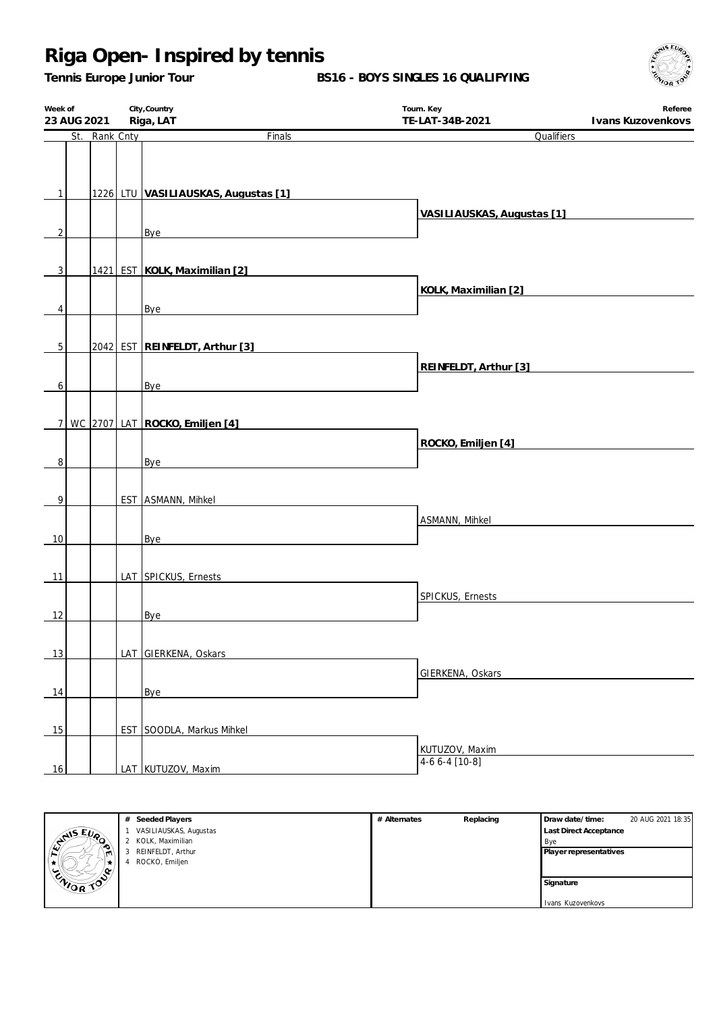*Tennis Europe Junior Tour*

**BS16 - BOYS SINGLES 16 QUALIFYING**



| Week of<br>23 AUG 2021 |  | City, Country<br>Riga, LAT | Tourn. Key<br>TE-LAT-34B-2021                                                                                                                                                                                                  | Referee                    |  |
|------------------------|--|----------------------------|--------------------------------------------------------------------------------------------------------------------------------------------------------------------------------------------------------------------------------|----------------------------|--|
| St. Rank Cnty          |  |                            |                                                                                                                                                                                                                                | Ivans Kuzovenkovs          |  |
|                        |  |                            | Finals                                                                                                                                                                                                                         | Qualifiers                 |  |
|                        |  |                            |                                                                                                                                                                                                                                |                            |  |
|                        |  |                            |                                                                                                                                                                                                                                |                            |  |
| $\mathbf{1}$           |  |                            | 1226 LTU VASILIAUSKAS, Augustas [1]                                                                                                                                                                                            |                            |  |
|                        |  |                            |                                                                                                                                                                                                                                |                            |  |
|                        |  |                            |                                                                                                                                                                                                                                | VASILIAUSKAS, Augustas [1] |  |
| $\sqrt{2}$             |  |                            | Bye                                                                                                                                                                                                                            |                            |  |
|                        |  |                            |                                                                                                                                                                                                                                |                            |  |
| $\overline{3}$         |  |                            | 1421 EST KOLK, Maximilian [2]                                                                                                                                                                                                  |                            |  |
|                        |  |                            |                                                                                                                                                                                                                                |                            |  |
|                        |  |                            |                                                                                                                                                                                                                                | KOLK, Maximilian [2]       |  |
| 4                      |  |                            | Bye and the state of the state of the state of the state of the state of the state of the state of the state of the state of the state of the state of the state of the state of the state of the state of the state of the st |                            |  |
|                        |  |                            |                                                                                                                                                                                                                                |                            |  |
| 5 <sup>1</sup>         |  |                            | 2042 EST REINFELDT, Arthur [3]                                                                                                                                                                                                 |                            |  |
|                        |  |                            |                                                                                                                                                                                                                                |                            |  |
|                        |  |                            |                                                                                                                                                                                                                                | REINFELDT, Arthur [3]      |  |
| $6 \mid$               |  |                            | Bye                                                                                                                                                                                                                            |                            |  |
|                        |  |                            |                                                                                                                                                                                                                                |                            |  |
|                        |  |                            | 7   WC 2707   LAT   ROCKO, Emiljen [4]                                                                                                                                                                                         |                            |  |
|                        |  |                            |                                                                                                                                                                                                                                |                            |  |
|                        |  |                            |                                                                                                                                                                                                                                | ROCKO, Emiljen [4]         |  |
| $\,8\,$                |  |                            | Bye                                                                                                                                                                                                                            |                            |  |
|                        |  |                            |                                                                                                                                                                                                                                |                            |  |
| $\overline{9}$         |  |                            | EST ASMANN, Mihkel                                                                                                                                                                                                             |                            |  |
|                        |  |                            |                                                                                                                                                                                                                                |                            |  |
|                        |  |                            |                                                                                                                                                                                                                                | ASMANN, Mihkel             |  |
| 10                     |  |                            | Bye                                                                                                                                                                                                                            |                            |  |
|                        |  |                            |                                                                                                                                                                                                                                |                            |  |
| 11                     |  |                            | LAT SPICKUS, Ernests                                                                                                                                                                                                           |                            |  |
|                        |  |                            |                                                                                                                                                                                                                                |                            |  |
|                        |  |                            |                                                                                                                                                                                                                                | SPICKUS, Ernests           |  |
| 12                     |  |                            | Bye                                                                                                                                                                                                                            |                            |  |
|                        |  |                            |                                                                                                                                                                                                                                |                            |  |
| 13                     |  |                            | LAT GIERKENA, Oskars                                                                                                                                                                                                           |                            |  |
|                        |  |                            |                                                                                                                                                                                                                                |                            |  |
|                        |  |                            |                                                                                                                                                                                                                                | GIERKENA, Oskars           |  |
| 14                     |  |                            | Bye                                                                                                                                                                                                                            |                            |  |
|                        |  |                            |                                                                                                                                                                                                                                |                            |  |
|                        |  |                            | EST SOODLA, Markus Mihkel                                                                                                                                                                                                      |                            |  |
| 15                     |  |                            |                                                                                                                                                                                                                                |                            |  |
|                        |  |                            |                                                                                                                                                                                                                                | KUTUZOV, Maxim             |  |
| 16                     |  |                            | LAT KUTUZOV, Maxim                                                                                                                                                                                                             | $4-66-4$ [10-8]            |  |



| Seeded Players<br>#    | # Alternates | Replacing | Draw date/time:               | 20 AUG 2021 18:35 |
|------------------------|--------------|-----------|-------------------------------|-------------------|
| VASILIAUSKAS, Augustas |              |           | <b>Last Direct Acceptance</b> |                   |
| 2 KOLK, Maximilian     |              |           | Bye                           |                   |
| REINFELDT, Arthur<br>3 |              |           | Player representatives        |                   |
| ROCKO, Emiljen<br>4    |              |           |                               |                   |
|                        |              |           |                               |                   |
|                        |              |           | Signature                     |                   |
|                        |              |           |                               |                   |
|                        |              |           | Ivans Kuzovenkovs             |                   |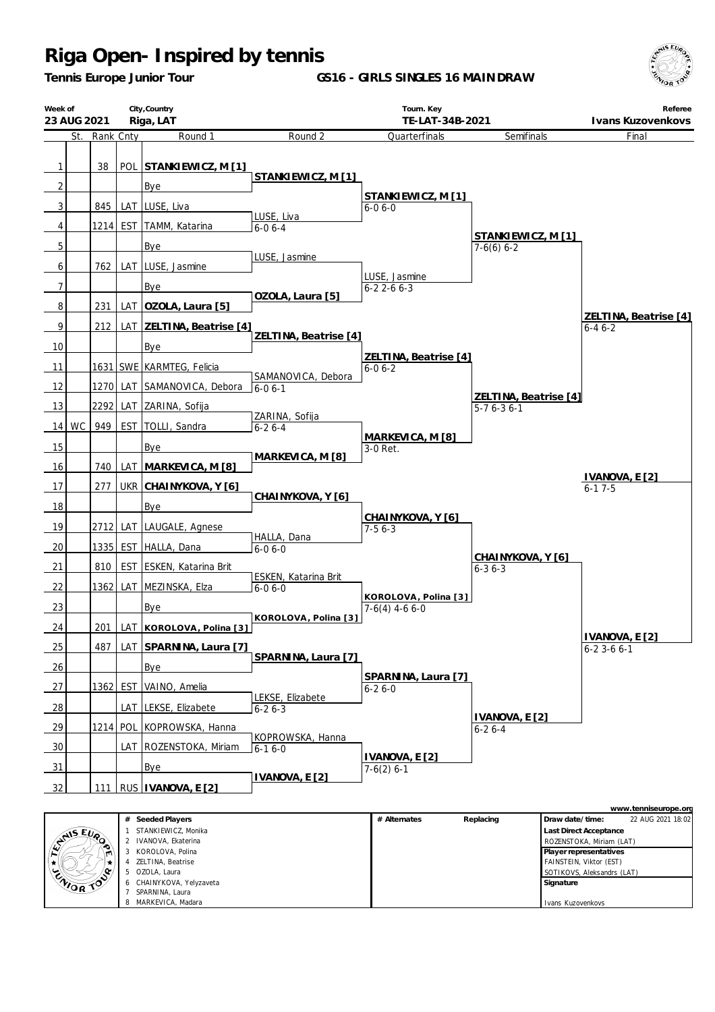*Tennis Europe Junior Tour*

**GS16 - GIRLS SINGLES 16 MAINDRAW**



Ivans Kuzovenkovs



7 SPARNINA, Laura MARKEVICA Madara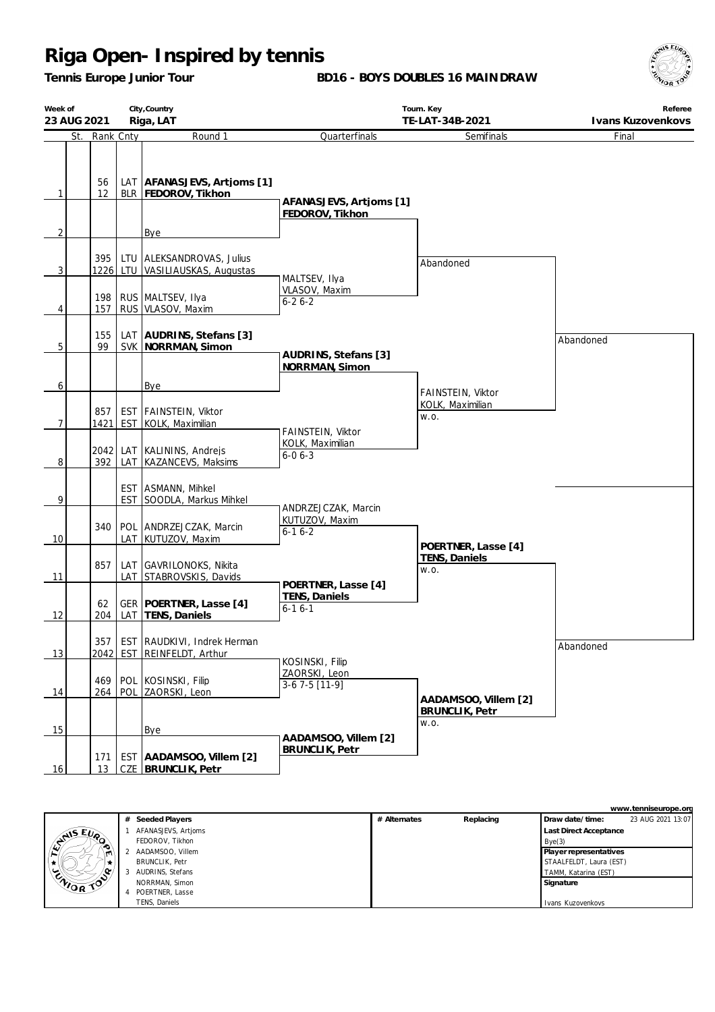*Tennis Europe Junior Tour*

**BD16 - BOYS DOUBLES 16 MAINDRAW**



| Week of<br>23 AUG 2021 |             | City, Country                                                   | Tourn. Key                                            | Referee                                      |           |
|------------------------|-------------|-----------------------------------------------------------------|-------------------------------------------------------|----------------------------------------------|-----------|
|                        |             | Riga, LAT                                                       | TE-LAT-34B-2021                                       | Ivans Kuzovenkovs                            |           |
| St.                    | Rank Cnty   | Round 1                                                         | Quarterfinals                                         | Semifinals                                   | Final     |
| 1                      | 56<br>12    | LAT   AFANASJEVS, Artjoms [1]<br>BLR   FEDOROV, Tikhon          | AFANASJEVS, Artioms [1]                               |                                              |           |
|                        |             |                                                                 | FEDOROV, Tikhon                                       |                                              |           |
| 2                      |             | Bye                                                             |                                                       |                                              |           |
| 3                      | 395         | LTU ALEKSANDROVAS, Julius<br>1226 LTU VASILIAUSKAS, Augustas    | MALTSEV, Ilya                                         | Abandoned                                    |           |
| 4                      | 198<br>157  | RUS MALTSEV, Ilya<br>RUS VLASOV, Maxim                          | VLASOV, Maxim<br>$6 - 26 - 2$                         |                                              |           |
| 5                      | 155<br>99   | LAT   AUDRINS, Stefans [3]<br>SVK   NORRMAN, Simon              | AUDRINS, Stefans [3]                                  |                                              | Abandoned |
| 6                      |             | Bye                                                             | NORRMAN, Simon                                        | FAINSTEIN, Viktor                            |           |
| 7                      | 857<br>1421 | EST   FAINSTEIN, Viktor<br>EST KOLK, Maximilian                 | FAINSTEIN, Viktor                                     | KOLK, Maximilian<br>W.O.                     |           |
| 8                      | 392         | 2042 LAT KALININS, Andrejs<br>LAT   KAZANCEVS, Maksims          | KOLK, Maximilian<br>$6 - 06 - 3$                      |                                              |           |
| 9                      |             | EST ASMANN, Mihkel<br>EST SOODLA, Markus Mihkel                 |                                                       |                                              |           |
| 10                     | 340         | POL ANDRZEJCZAK, Marcin<br>LAT   KUTUZOV, Maxim                 | ANDRZEJCZAK, Marcin<br>KUTUZOV, Maxim<br>$6 - 16 - 2$ |                                              |           |
| 11                     | 857         | LAT GAVRILONOKS, Nikita<br>LAT STABROVSKIS, Davids              | POERTNER, Lasse [4]                                   | POERTNER, Lasse [4]<br>TENS, Daniels<br>W.O. |           |
| 12                     | 62<br>204   | GER   POERTNER, Lasse [4]<br>LAT TENS, Daniels                  | <b>TENS, Daniels</b><br>$6 - 16 - 1$                  |                                              |           |
| 13                     |             | 357   EST RAUDKIVI, Indrek Herman<br>2042 EST REINFELDT, Arthur |                                                       |                                              | Abandoned |
| 14                     | 469         | POL KOSINSKI, Filip<br>264   POL   ZAORSKI, Leon                | KOSINSKI, Filip<br>ZAORSKI, Leon<br>$3-67-5$ [11-9]   | AADAMSOO, Villem [2]                         |           |
| 15                     |             | Bye                                                             |                                                       | <b>BRUNCLIK, Petr</b><br>W.O.                |           |
| 16                     | 171<br>13   | EST   AADAMSOO, Villem [2]<br>CZE BRUNCLIK, Petr                | AADAMSOO, Villem [2]<br><b>BRUNCLIK, Petr</b>         |                                              |           |